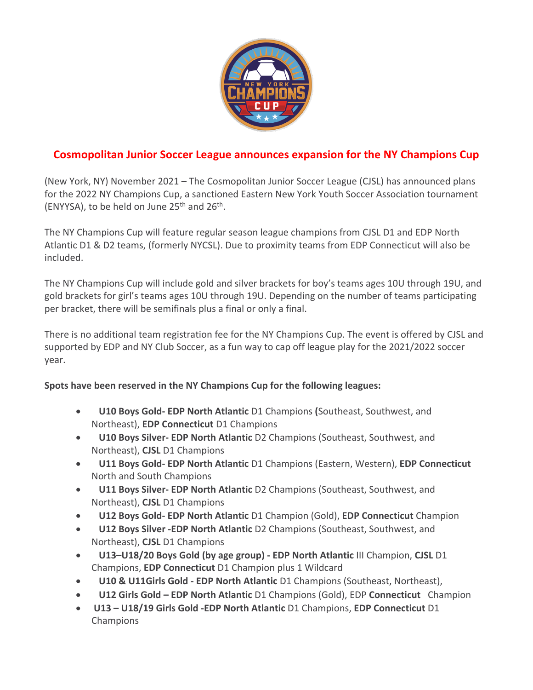

# **Cosmopolitan Junior Soccer League announces expansion for the NY Champions Cup**

(New York, NY) November 2021 – The Cosmopolitan Junior Soccer League (CJSL) has announced plans for the 2022 NY Champions Cup, a sanctioned Eastern New York Youth Soccer Association tournament (ENYYSA), to be held on June  $25<sup>th</sup>$  and  $26<sup>th</sup>$ .

The NY Champions Cup will feature regular season league champions from CJSL D1 and EDP North Atlantic D1 & D2 teams, (formerly NYCSL). Due to proximity teams from EDP Connecticut will also be included.

The NY Champions Cup will include gold and silver brackets for boy's teams ages 10U through 19U, and gold brackets for girl's teams ages 10U through 19U. Depending on the number of teams participating per bracket, there will be semifinals plus a final or only a final.

There is no additional team registration fee for the NY Champions Cup. The event is offered by CJSL and supported by EDP and NY Club Soccer, as a fun way to cap off league play for the 2021/2022 soccer year.

## **Spots have been reserved in the NY Champions Cup for the following leagues:**

- **U10 Boys Gold- EDP North Atlantic** D1 Champions **(**Southeast, Southwest, and Northeast), **EDP Connecticut** D1 Champions
- **U10 Boys Silver- EDP North Atlantic** D2 Champions (Southeast, Southwest, and Northeast), **CJSL** D1 Champions
- **U11 Boys Gold- EDP North Atlantic** D1 Champions (Eastern, Western), **EDP Connecticut**  North and South Champions
- **U11 Boys Silver- EDP North Atlantic** D2 Champions (Southeast, Southwest, and Northeast), **CJSL** D1 Champions
- **U12 Boys Gold- EDP North Atlantic** D1 Champion (Gold), **EDP Connecticut** Champion
- **U12 Boys Silver -EDP North Atlantic** D2 Champions (Southeast, Southwest, and Northeast), **CJSL** D1 Champions
- **U13–U18/20 Boys Gold (by age group) - EDP North Atlantic** III Champion, **CJSL** D1 Champions, **EDP Connecticut** D1 Champion plus 1 Wildcard
- **U10 & U11Girls Gold - EDP North Atlantic** D1 Champions (Southeast, Northeast),
- **U12 Girls Gold – EDP North Atlantic** D1 Champions (Gold), EDP **Connecticut** Champion
- **U13 – U18/19 Girls Gold -EDP North Atlantic** D1 Champions, **EDP Connecticut** D1 Champions